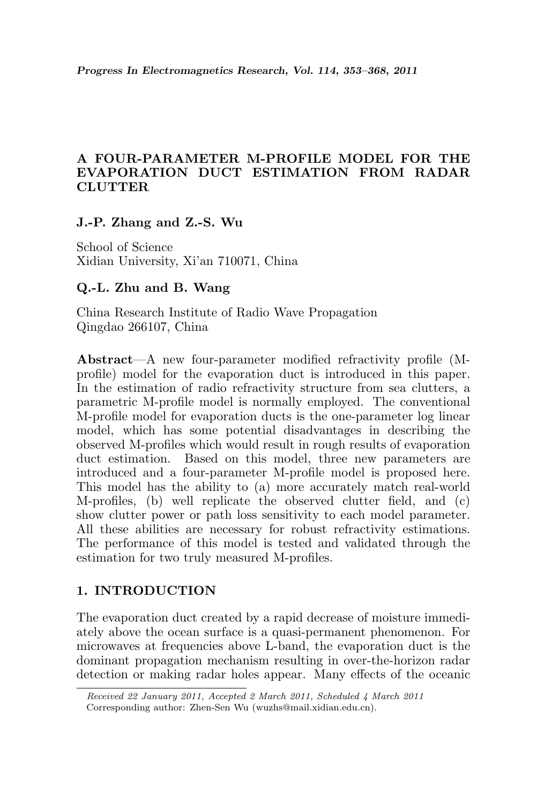# A FOUR-PARAMETER M-PROFILE MODEL FOR THE EVAPORATION DUCT ESTIMATION FROM RADAR **CLUTTER**

### J.-P. Zhang and Z.-S. Wu

School of Science Xidian University, Xi'an 710071, China

## Q.-L. Zhu and B. Wang

China Research Institute of Radio Wave Propagation Qingdao 266107, China

Abstract—A new four-parameter modified refractivity profile (Mprofile) model for the evaporation duct is introduced in this paper. In the estimation of radio refractivity structure from sea clutters, a parametric M-profile model is normally employed. The conventional M-profile model for evaporation ducts is the one-parameter log linear model, which has some potential disadvantages in describing the observed M-profiles which would result in rough results of evaporation duct estimation. Based on this model, three new parameters are introduced and a four-parameter M-profile model is proposed here. This model has the ability to (a) more accurately match real-world M-profiles, (b) well replicate the observed clutter field, and (c) show clutter power or path loss sensitivity to each model parameter. All these abilities are necessary for robust refractivity estimations. The performance of this model is tested and validated through the estimation for two truly measured M-profiles.

# 1. INTRODUCTION

The evaporation duct created by a rapid decrease of moisture immediately above the ocean surface is a quasi-permanent phenomenon. For microwaves at frequencies above L-band, the evaporation duct is the dominant propagation mechanism resulting in over-the-horizon radar detection or making radar holes appear. Many effects of the oceanic

Received 22 January 2011, Accepted 2 March 2011, Scheduled 4 March 2011 Corresponding author: Zhen-Sen Wu (wuzhs@mail.xidian.edu.cn).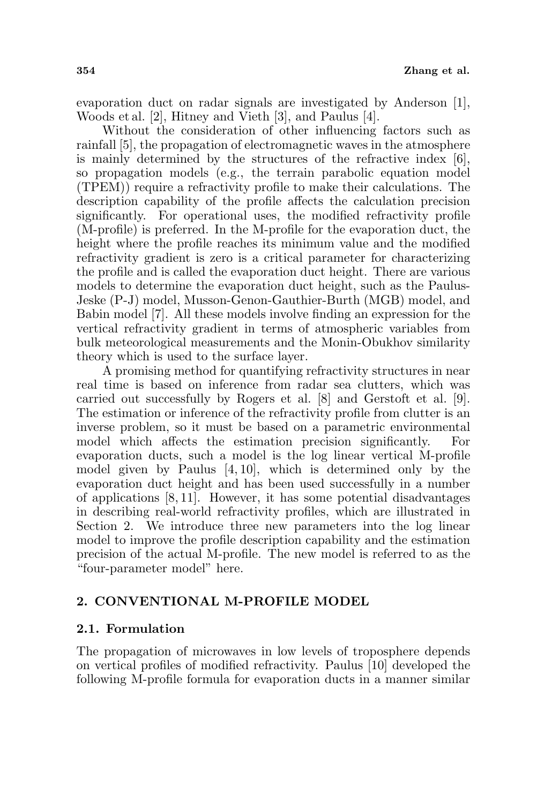evaporation duct on radar signals are investigated by Anderson [1], Woods et al. [2], Hitney and Vieth [3], and Paulus [4].

Without the consideration of other influencing factors such as rainfall [5], the propagation of electromagnetic waves in the atmosphere is mainly determined by the structures of the refractive index [6], so propagation models (e.g., the terrain parabolic equation model (TPEM)) require a refractivity profile to make their calculations. The description capability of the profile affects the calculation precision significantly. For operational uses, the modified refractivity profile (M-profile) is preferred. In the M-profile for the evaporation duct, the height where the profile reaches its minimum value and the modified refractivity gradient is zero is a critical parameter for characterizing the profile and is called the evaporation duct height. There are various models to determine the evaporation duct height, such as the Paulus-Jeske (P-J) model, Musson-Genon-Gauthier-Burth (MGB) model, and Babin model [7]. All these models involve finding an expression for the vertical refractivity gradient in terms of atmospheric variables from bulk meteorological measurements and the Monin-Obukhov similarity theory which is used to the surface layer.

A promising method for quantifying refractivity structures in near real time is based on inference from radar sea clutters, which was carried out successfully by Rogers et al. [8] and Gerstoft et al. [9]. The estimation or inference of the refractivity profile from clutter is an inverse problem, so it must be based on a parametric environmental model which affects the estimation precision significantly. evaporation ducts, such a model is the log linear vertical M-profile model given by Paulus [4, 10], which is determined only by the evaporation duct height and has been used successfully in a number of applications [8, 11]. However, it has some potential disadvantages in describing real-world refractivity profiles, which are illustrated in Section 2. We introduce three new parameters into the log linear model to improve the profile description capability and the estimation precision of the actual M-profile. The new model is referred to as the "four-parameter model" here.

## 2. CONVENTIONAL M-PROFILE MODEL

#### 2.1. Formulation

The propagation of microwaves in low levels of troposphere depends on vertical profiles of modified refractivity. Paulus [10] developed the following M-profile formula for evaporation ducts in a manner similar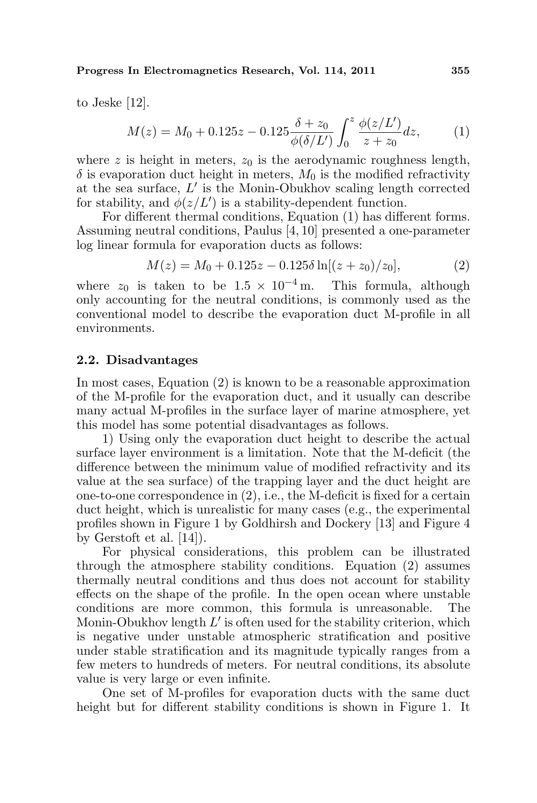Progress In Electromagnetics Research, Vol. 114, 2011 355

to Jeske [12].

$$
M(z) = M_0 + 0.125z - 0.125 \frac{\delta + z_0}{\phi(\delta/L')} \int_0^z \frac{\phi(z/L')}{z + z_0} dz,
$$
 (1)

where z is height in meters,  $z_0$  is the aerodynamic roughness length,  $\delta$  is evaporation duct height in meters,  $M_0$  is the modified refractivity at the sea surface,  $L'$  is the Monin-Obukhov scaling length corrected for stability, and  $\phi(z/L')$  is a stability-dependent function.

For different thermal conditions, Equation (1) has different forms. Assuming neutral conditions, Paulus [4, 10] presented a one-parameter log linear formula for evaporation ducts as follows:

$$
M(z) = M_0 + 0.125z - 0.125\delta \ln[(z + z_0)/z_0],\tag{2}
$$

where  $z_0$  is taken to be  $1.5 \times 10^{-4}$  m. This formula, although only accounting for the neutral conditions, is commonly used as the conventional model to describe the evaporation duct M-profile in all environments.

#### 2.2. Disadvantages

In most cases, Equation (2) is known to be a reasonable approximation of the M-profile for the evaporation duct, and it usually can describe many actual M-profiles in the surface layer of marine atmosphere, yet this model has some potential disadvantages as follows.

1) Using only the evaporation duct height to describe the actual surface layer environment is a limitation. Note that the M-deficit (the difference between the minimum value of modified refractivity and its value at the sea surface) of the trapping layer and the duct height are one-to-one correspondence in  $(2)$ , i.e., the M-deficit is fixed for a certain duct height, which is unrealistic for many cases (e.g., the experimental profiles shown in Figure 1 by Goldhirsh and Dockery [13] and Figure 4 by Gerstoft et al. [14]).

For physical considerations, this problem can be illustrated through the atmosphere stability conditions. Equation (2) assumes thermally neutral conditions and thus does not account for stability effects on the shape of the profile. In the open ocean where unstable conditions are more common, this formula is unreasonable. The Monin-Obukhov length  $L'$  is often used for the stability criterion, which is negative under unstable atmospheric stratification and positive under stable stratification and its magnitude typically ranges from a few meters to hundreds of meters. For neutral conditions, its absolute value is very large or even infinite.

One set of M-profiles for evaporation ducts with the same duct height but for different stability conditions is shown in Figure 1. It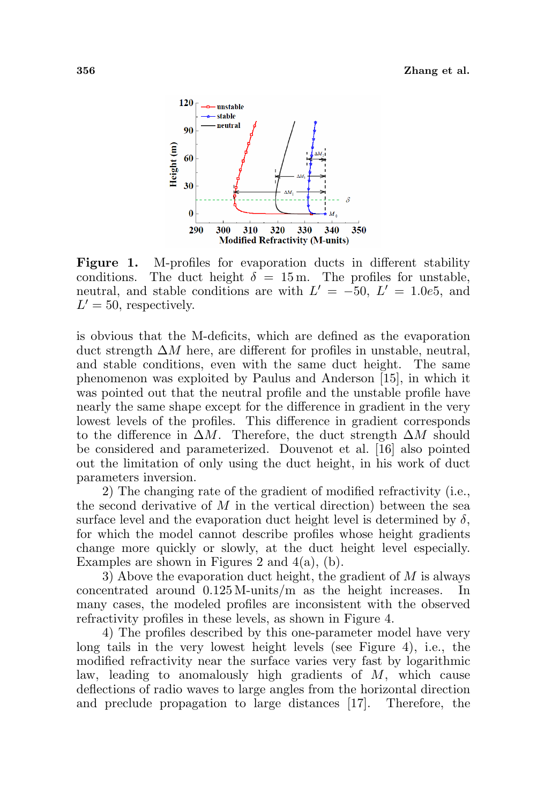

Figure 1. M-profiles for evaporation ducts in different stability conditions. The duct height  $\delta = 15$  m. The profiles for unstable, neutral, and stable conditions are with  $L' = -50, L' = 1.0e5$ , and  $L' = 50$ , respectively.

is obvious that the M-deficits, which are defined as the evaporation duct strength  $\Delta M$  here, are different for profiles in unstable, neutral, and stable conditions, even with the same duct height. The same phenomenon was exploited by Paulus and Anderson [15], in which it was pointed out that the neutral profile and the unstable profile have nearly the same shape except for the difference in gradient in the very lowest levels of the profiles. This difference in gradient corresponds to the difference in  $\Delta M$ . Therefore, the duct strength  $\Delta M$  should be considered and parameterized. Douvenot et al. [16] also pointed out the limitation of only using the duct height, in his work of duct parameters inversion.

2) The changing rate of the gradient of modified refractivity (i.e., the second derivative of  $M$  in the vertical direction) between the sea surface level and the evaporation duct height level is determined by  $\delta$ , for which the model cannot describe profiles whose height gradients change more quickly or slowly, at the duct height level especially. Examples are shown in Figures 2 and  $4(a)$ , (b).

3) Above the evaporation duct height, the gradient of  $M$  is always concentrated around 0.125 M-units/m as the height increases. In many cases, the modeled profiles are inconsistent with the observed refractivity profiles in these levels, as shown in Figure 4.

4) The profiles described by this one-parameter model have very long tails in the very lowest height levels (see Figure 4), i.e., the modified refractivity near the surface varies very fast by logarithmic law, leading to anomalously high gradients of  $M$ , which cause deflections of radio waves to large angles from the horizontal direction and preclude propagation to large distances [17]. Therefore, the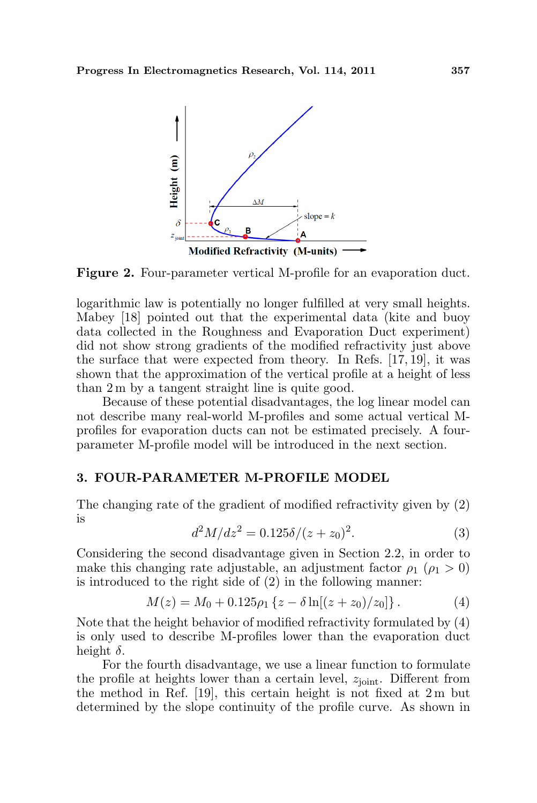

Figure 2. Four-parameter vertical M-profile for an evaporation duct.

logarithmic law is potentially no longer fulfilled at very small heights. Mabey [18] pointed out that the experimental data (kite and buoy data collected in the Roughness and Evaporation Duct experiment) did not show strong gradients of the modified refractivity just above the surface that were expected from theory. In Refs. [17, 19], it was shown that the approximation of the vertical profile at a height of less than 2 m by a tangent straight line is quite good.

Because of these potential disadvantages, the log linear model can not describe many real-world M-profiles and some actual vertical Mprofiles for evaporation ducts can not be estimated precisely. A fourparameter M-profile model will be introduced in the next section.

### 3. FOUR-PARAMETER M-PROFILE MODEL

The changing rate of the gradient of modified refractivity given by (2) is

$$
d^2M/dz^2 = 0.125\delta/(z+z_0)^2.
$$
 (3)

Considering the second disadvantage given in Section 2.2, in order to make this changing rate adjustable, an adjustment factor  $\rho_1$  ( $\rho_1 > 0$ ) is introduced to the right side of (2) in the following manner:

$$
M(z) = M_0 + 0.125 \rho_1 \left\{ z - \delta \ln[(z + z_0)/z_0] \right\}.
$$
 (4)

Note that the height behavior of modified refractivity formulated by (4) is only used to describe M-profiles lower than the evaporation duct height  $\delta$ .

For the fourth disadvantage, we use a linear function to formulate the profile at heights lower than a certain level,  $z<sub>joint</sub>$ . Different from the method in Ref. [19], this certain height is not fixed at 2 m but determined by the slope continuity of the profile curve. As shown in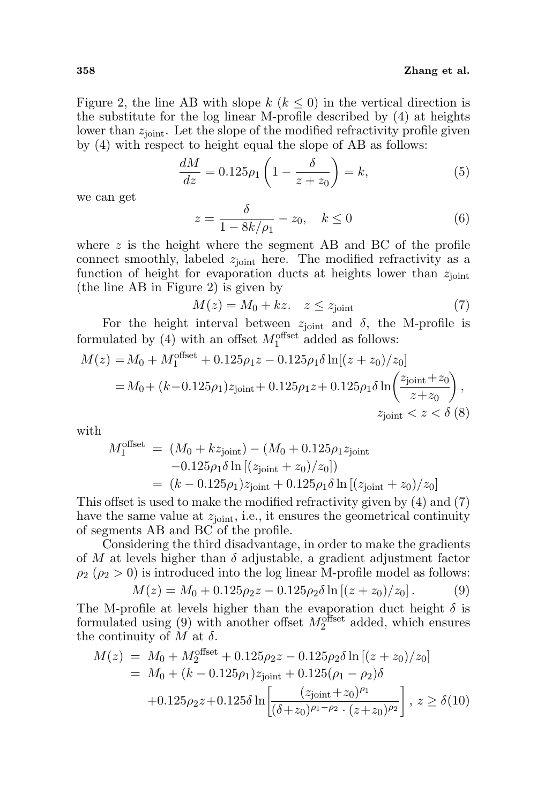Figure 2, the line AB with slope  $k$  ( $k \leq 0$ ) in the vertical direction is the substitute for the log linear M-profile described by (4) at heights lower than  $z_{\text{joint}}$ . Let the slope of the modified refractivity profile given by  $(4)$  with respect to height equal the slope of AB as follows:

$$
\frac{dM}{dz} = 0.125\rho_1 \left(1 - \frac{\delta}{z + z_0}\right) = k,\tag{5}
$$

we can get

$$
z = \frac{\delta}{1 - 8k/\rho_1} - z_0, \quad k \le 0
$$
 (6)

where  $z$  is the height where the segment AB and BC of the profile connect smoothly, labeled  $z<sub>joint</sub>$  here. The modified refractivity as a function of height for evaporation ducts at heights lower than  $z<sub>joint</sub>$ (the line AB in Figure 2) is given by

$$
M(z) = M_0 + kz. \quad z \le z_{\text{joint}} \tag{7}
$$

For the height interval between  $z_{joint}$  and  $\delta$ , the M-profile is formulated by (4) with an offset  $M_1^{\text{offset}}$  added as follows:

$$
M(z) = M_0 + M_1^{\text{offset}} + 0.125\rho_1 z - 0.125\rho_1 \delta \ln[(z + z_0)/z_0]
$$
  
=  $M_0 + (k - 0.125\rho_1)z_{\text{joint}} + 0.125\rho_1 z + 0.125\rho_1 \delta \ln\left(\frac{z_{\text{joint}} + z_0}{z + z_0}\right),$   
 $z_{\text{joint}} < z < \delta$  (8)

with

$$
M_1^{\text{offset}} = (M_0 + kz_{\text{joint}}) - (M_0 + 0.125\rho_1 z_{\text{joint}}-0.125\rho_1 \delta \ln [(z_{\text{joint}} + z_0)/z_0])= (k - 0.125\rho_1) z_{\text{joint}} + 0.125\rho_1 \delta \ln [(z_{\text{joint}} + z_0)/z_0]
$$

This offset is used to make the modified refractivity given by (4) and (7) have the same value at  $z_{joint}$ , i.e., it ensures the geometrical continuity of segments AB and BC of the profile.

Considering the third disadvantage, in order to make the gradients of M at levels higher than  $\delta$  adjustable, a gradient adjustment factor  $\rho_2$  ( $\rho_2 > 0$ ) is introduced into the log linear M-profile model as follows:

$$
M(z) = M_0 + 0.125 \rho_2 z - 0.125 \rho_2 \delta \ln \left[ (z + z_0)/z_0 \right]. \tag{9}
$$

The M-profile at levels higher than the evaporation duct height  $\delta$  is formulated using (9) with another offset  $M_2^{\text{offset}}$  added, which ensures the continuity of M at  $\delta$ .

$$
M(z) = M_0 + M_2^{\text{offset}} + 0.125\rho_2 z - 0.125\rho_2 \delta \ln \left[ (z + z_0) / z_0 \right]
$$
  
= M\_0 + (k - 0.125\rho\_1) z<sub>joint</sub> + 0.125(\rho\_1 - \rho\_2) \delta  
+ 0.125\rho\_2 z + 0.125\delta \ln \left[ \frac{(z\_{joint} + z\_0)^{\rho\_1}}{(\delta + z\_0)^{\rho\_1 - \rho\_2} \cdot (z + z\_0)^{\rho\_2}} \right], z \ge \delta(10)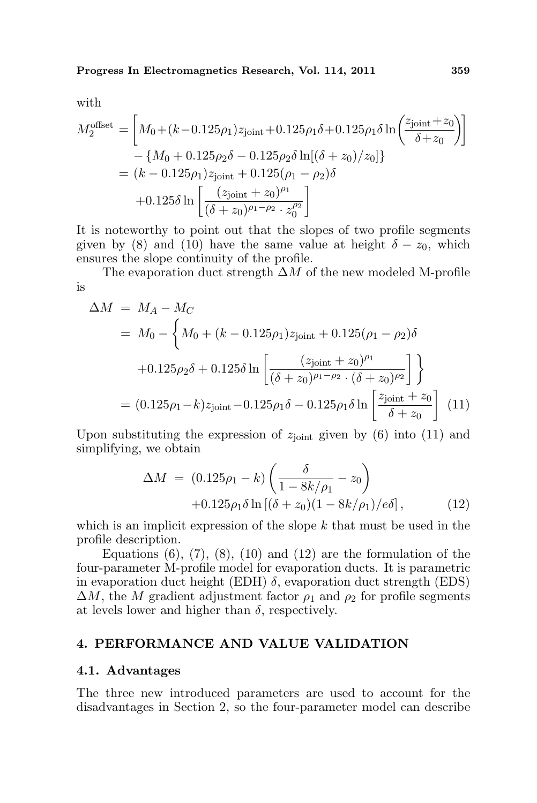Progress In Electromagnetics Research, Vol. 114, 2011 359

with

$$
M_2^{\text{offset}} = \left[ M_0 + (k - 0.125\rho_1) z_{\text{joint}} + 0.125\rho_1 \delta + 0.125\rho_1 \delta \ln \left( \frac{z_{\text{joint}} + z_0}{\delta + z_0} \right) \right]
$$

$$
- \left\{ M_0 + 0.125\rho_2 \delta - 0.125\rho_2 \delta \ln [(\delta + z_0)/z_0] \right\}
$$

$$
= (k - 0.125\rho_1) z_{\text{joint}} + 0.125(\rho_1 - \rho_2) \delta
$$

$$
+ 0.125\delta \ln \left[ \frac{(z_{\text{joint}} + z_0)^{\rho_1}}{(\delta + z_0)^{\rho_1 - \rho_2} \cdot z_0^{\rho_2}} \right]
$$

It is noteworthy to point out that the slopes of two profile segments given by (8) and (10) have the same value at height  $\delta - z_0$ , which ensures the slope continuity of the profile.

The evaporation duct strength  $\Delta M$  of the new modeled M-profile is

$$
\Delta M = M_A - M_C
$$
  
=  $M_0 - \left\{ M_0 + (k - 0.125\rho_1) z_{\text{joint}} + 0.125(\rho_1 - \rho_2) \delta$   
+0.125 $\rho_2 \delta$  + 0.125 $\delta$  ln  $\left[ \frac{(z_{\text{joint}} + z_0)^{\rho_1}}{(\delta + z_0)^{\rho_1 - \rho_2} \cdot (\delta + z_0)^{\rho_2}} \right] \right\}$   
=  $(0.125\rho_1 - k) z_{\text{joint}} - 0.125\rho_1 \delta - 0.125\rho_1 \delta$  ln  $\left[ \frac{z_{\text{joint}} + z_0}{\delta + z_0} \right]$  (11)

Upon substituting the expression of  $z<sub>joint</sub>$  given by (6) into (11) and simplifying, we obtain

$$
\Delta M = (0.125\rho_1 - k) \left( \frac{\delta}{1 - 8k/\rho_1} - z_0 \right) + 0.125\rho_1 \delta \ln \left[ (\delta + z_0)(1 - 8k/\rho_1)/e \delta \right],
$$
(12)

which is an implicit expression of the slope  $k$  that must be used in the profile description.

Equations  $(6)$ ,  $(7)$ ,  $(8)$ ,  $(10)$  and  $(12)$  are the formulation of the four-parameter M-profile model for evaporation ducts. It is parametric in evaporation duct height (EDH)  $\delta$ , evaporation duct strength (EDS)  $\Delta M$ , the M gradient adjustment factor  $\rho_1$  and  $\rho_2$  for profile segments at levels lower and higher than  $\delta$ , respectively.

### 4. PERFORMANCE AND VALUE VALIDATION

#### 4.1. Advantages

The three new introduced parameters are used to account for the disadvantages in Section 2, so the four-parameter model can describe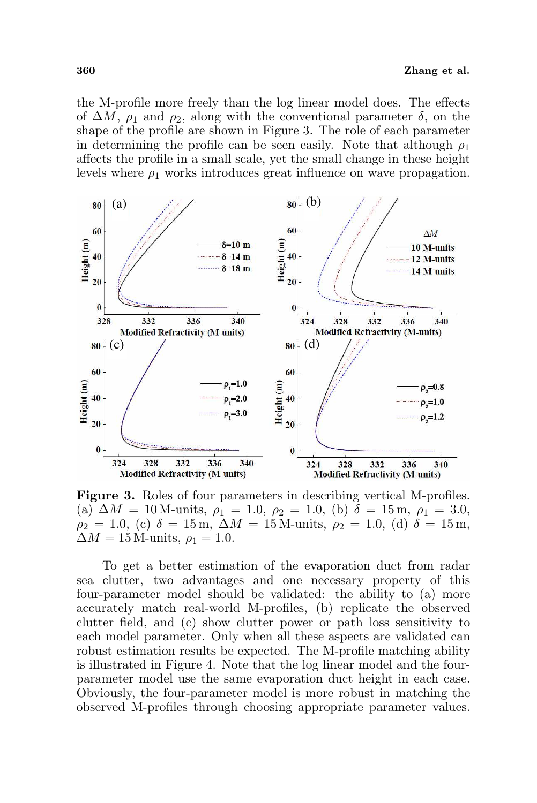the M-profile more freely than the log linear model does. The effects of  $\Delta M$ ,  $\rho_1$  and  $\rho_2$ , along with the conventional parameter  $\delta$ , on the shape of the profile are shown in Figure 3. The role of each parameter in determining the profile can be seen easily. Note that although  $\rho_1$ affects the profile in a small scale, yet the small change in these height levels where  $\rho_1$  works introduces great influence on wave propagation.



Figure 3. Roles of four parameters in describing vertical M-profiles. (a)  $\Delta M = 10$  M-units,  $\rho_1 = 1.0$ ,  $\rho_2 = 1.0$ , (b)  $\delta = 15$  m,  $\rho_1 = 3.0$ ,  $\rho_2 = 1.0$ , (c)  $\delta = 15$  m,  $\Delta M = 15$  M-units,  $\rho_2 = 1.0$ , (d)  $\delta = 15$  m,  $\Delta M = 15$  M-units,  $\rho_1 = 1.0$ .

To get a better estimation of the evaporation duct from radar sea clutter, two advantages and one necessary property of this four-parameter model should be validated: the ability to (a) more accurately match real-world M-profiles, (b) replicate the observed clutter field, and (c) show clutter power or path loss sensitivity to each model parameter. Only when all these aspects are validated can robust estimation results be expected. The M-profile matching ability is illustrated in Figure 4. Note that the log linear model and the fourparameter model use the same evaporation duct height in each case. Obviously, the four-parameter model is more robust in matching the observed M-profiles through choosing appropriate parameter values.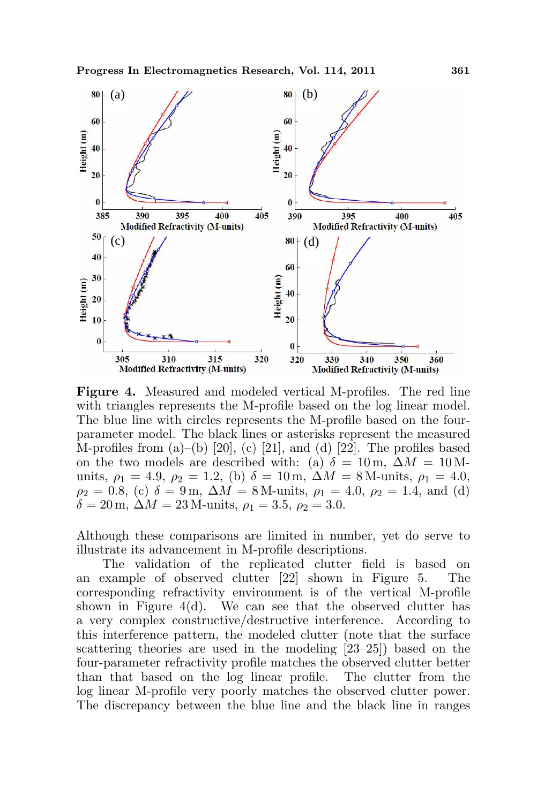

Figure 4. Measured and modeled vertical M-profiles. The red line with triangles represents the M-profile based on the log linear model. The blue line with circles represents the M-profile based on the fourparameter model. The black lines or asterisks represent the measured M-profiles from  $(a)$ – $(b)$  [20],  $(c)$  [21], and  $(d)$  [22]. The profiles based on the two models are described with: (a)  $\delta = 10 \text{ m}, \Delta M = 10 \text{ M}$ units,  $\rho_1 = 4.9$ ,  $\rho_2 = 1.2$ , (b)  $\delta = 10$  m,  $\Delta M = 8$  M-units,  $\rho_1 = 4.0$ ,  $\rho_2 = 0.8$ , (c)  $\delta = 9$  m,  $\Delta M = 8$  M-units,  $\rho_1 = 4.0$ ,  $\rho_2 = 1.4$ , and (d)  $\delta = 20 \,\text{m}, \, \Delta M = 23 \,\text{M-units}, \, \rho_1 = 3.5, \, \rho_2 = 3.0.$ 

Although these comparisons are limited in number, yet do serve to illustrate its advancement in M-profile descriptions.

The validation of the replicated clutter field is based on an example of observed clutter [22] shown in Figure 5. The corresponding refractivity environment is of the vertical M-profile shown in Figure  $4(d)$ . We can see that the observed clutter has a very complex constructive/destructive interference. According to this interference pattern, the modeled clutter (note that the surface scattering theories are used in the modeling [23–25]) based on the four-parameter refractivity profile matches the observed clutter better than that based on the log linear profile. The clutter from the log linear M-profile very poorly matches the observed clutter power. The discrepancy between the blue line and the black line in ranges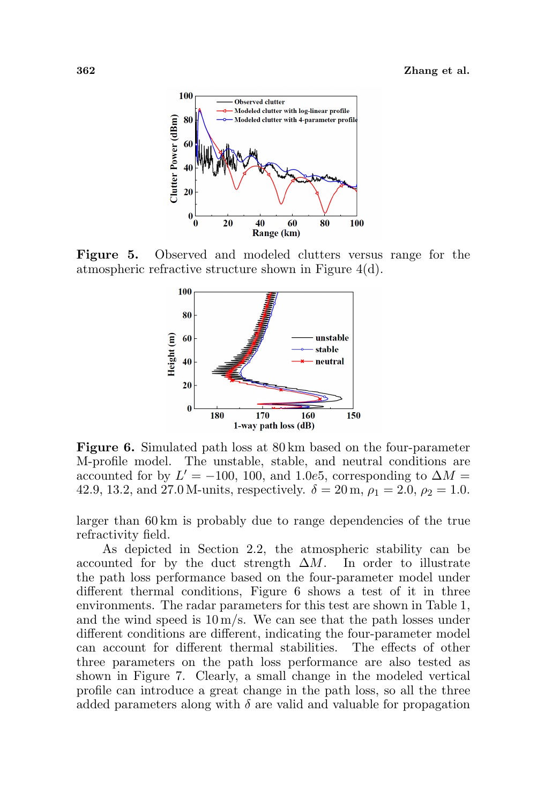

Figure 5. Observed and modeled clutters versus range for the atmospheric refractive structure shown in Figure 4(d).



Figure 6. Simulated path loss at 80 km based on the four-parameter M-profile model. The unstable, stable, and neutral conditions are accounted for by  $L' = -100$ , 100, and 1.0e5, corresponding to  $\Delta M =$ 42.9, 13.2, and 27.0 M-units, respectively.  $\delta = 20$  m,  $\rho_1 = 2.0$ ,  $\rho_2 = 1.0$ .

larger than 60 km is probably due to range dependencies of the true refractivity field.

As depicted in Section 2.2, the atmospheric stability can be accounted for by the duct strength  $\Delta M$ . In order to illustrate the path loss performance based on the four-parameter model under different thermal conditions, Figure 6 shows a test of it in three environments. The radar parameters for this test are shown in Table 1, and the wind speed is  $10 \,\mathrm{m/s}$ . We can see that the path losses under different conditions are different, indicating the four-parameter model can account for different thermal stabilities. The effects of other three parameters on the path loss performance are also tested as shown in Figure 7. Clearly, a small change in the modeled vertical profile can introduce a great change in the path loss, so all the three added parameters along with  $\delta$  are valid and valuable for propagation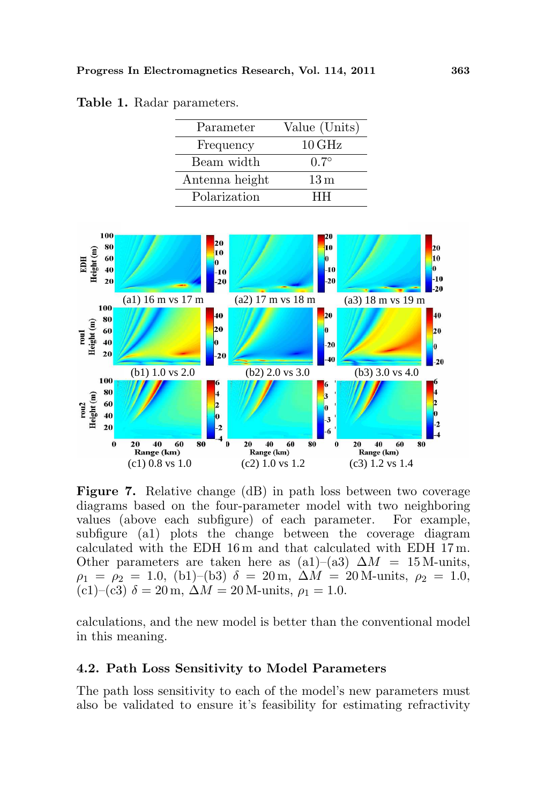| Parameter      | Value (Units)      |
|----------------|--------------------|
| Frequency      | $10\,\mathrm{GHz}$ |
| Beam width     | $0.7^\circ$        |
| Antenna height | 13 <sub>m</sub>    |
| Polarization   | нн                 |





Figure 7. Relative change (dB) in path loss between two coverage diagrams based on the four-parameter model with two neighboring values (above each subfigure) of each parameter. For example, subfigure (a1) plots the change between the coverage diagram calculated with the EDH 16 m and that calculated with EDH 17 m. Other parameters are taken here as (a1)–(a3)  $\Delta M = 15$  M-units,  $\rho_1 = \rho_2 = 1.0$ , (b1)–(b3)  $\delta = 20$  m,  $\Delta M = 20$  M-units,  $\rho_2 = 1.0$ , (c1)–(c3)  $\delta = 20$  m,  $\Delta M = 20$  M-units,  $\rho_1 = 1.0$ .

calculations, and the new model is better than the conventional model in this meaning.

### 4.2. Path Loss Sensitivity to Model Parameters

The path loss sensitivity to each of the model's new parameters must also be validated to ensure it's feasibility for estimating refractivity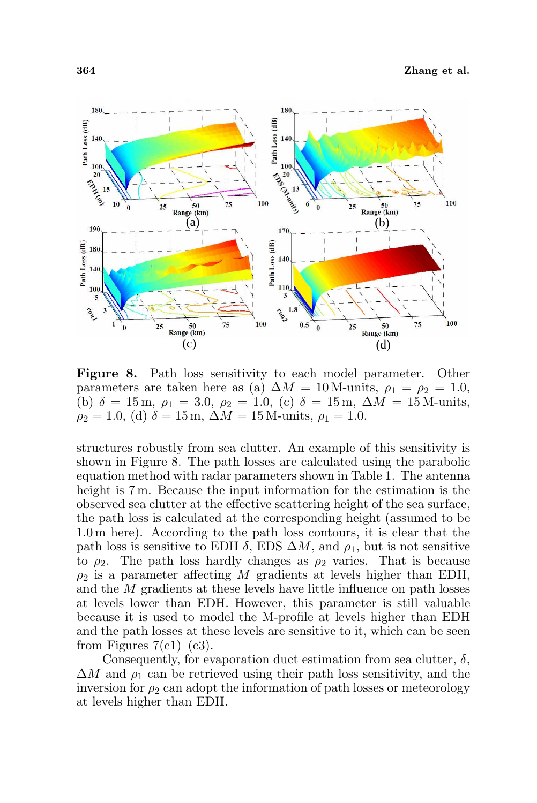

Figure 8. Path loss sensitivity to each model parameter. Other parameters are taken here as (a)  $\Delta M = 10$  M-units,  $\rho_1 = \rho_2 = 1.0$ , (b)  $\delta = 15 \,\text{m}, \, \rho_1 = 3.0, \, \rho_2 = 1.0, \, \text{(c)} \, \delta = 15 \,\text{m}, \, \Delta M = 15 \,\text{M-units},$  $\rho_2 = 1.0$ , (d)  $\delta = 15$  m,  $\Delta M = 15$  M-units,  $\rho_1 = 1.0$ .

structures robustly from sea clutter. An example of this sensitivity is shown in Figure 8. The path losses are calculated using the parabolic equation method with radar parameters shown in Table 1. The antenna height is 7 m. Because the input information for the estimation is the observed sea clutter at the effective scattering height of the sea surface, the path loss is calculated at the corresponding height (assumed to be 1.0 m here). According to the path loss contours, it is clear that the path loss is sensitive to EDH  $\delta$ , EDS  $\Delta M$ , and  $\rho_1$ , but is not sensitive to  $\rho_2$ . The path loss hardly changes as  $\rho_2$  varies. That is because  $\rho_2$  is a parameter affecting M gradients at levels higher than EDH, and the M gradients at these levels have little influence on path losses at levels lower than EDH. However, this parameter is still valuable because it is used to model the M-profile at levels higher than EDH and the path losses at these levels are sensitive to it, which can be seen from Figures  $7(c1)$ – $(c3)$ .

Consequently, for evaporation duct estimation from sea clutter,  $\delta$ ,  $\Delta M$  and  $\rho_1$  can be retrieved using their path loss sensitivity, and the inversion for  $\rho_2$  can adopt the information of path losses or meteorology at levels higher than EDH.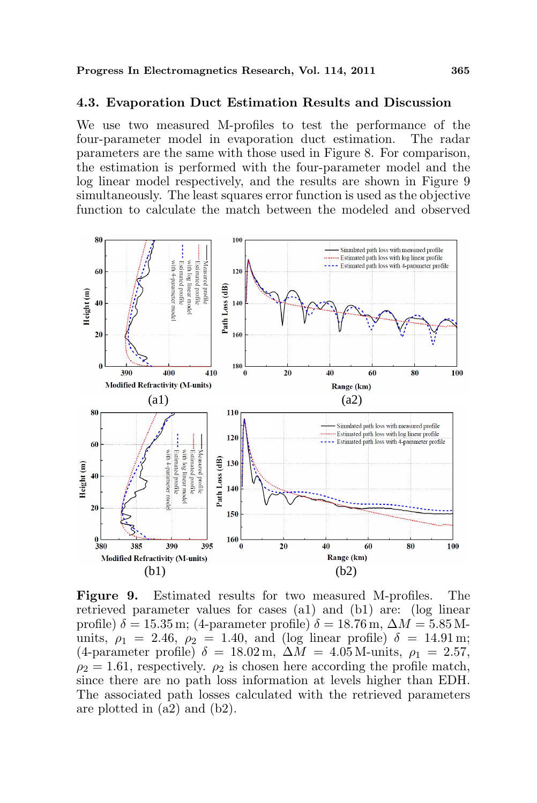### 4.3. Evaporation Duct Estimation Results and Discussion

We use two measured M-profiles to test the performance of the four-parameter model in evaporation duct estimation. The radar parameters are the same with those used in Figure 8. For comparison, the estimation is performed with the four-parameter model and the log linear model respectively, and the results are shown in Figure 9 simultaneously. The least squares error function is used as the objective function to calculate the match between the modeled and observed



Figure 9. Estimated results for two measured M-profiles. The retrieved parameter values for cases (a1) and (b1) are: (log linear profile)  $\delta = 15.35$  m; (4-parameter profile)  $\delta = 18.76$  m,  $\Delta M = 5.85$  Munits,  $\rho_1 = 2.46$ ,  $\rho_2 = 1.40$ , and (log linear profile)  $\delta = 14.91$  m; (4-parameter profile)  $\delta = 18.02 \,\mathrm{m}$ ,  $\Delta M = 4.05 \,\mathrm{M}$ -units,  $\rho_1 = 2.57$ ,  $\rho_2 = 1.61$ , respectively.  $\rho_2$  is chosen here according the profile match, since there are no path loss information at levels higher than EDH. The associated path losses calculated with the retrieved parameters are plotted in (a2) and (b2).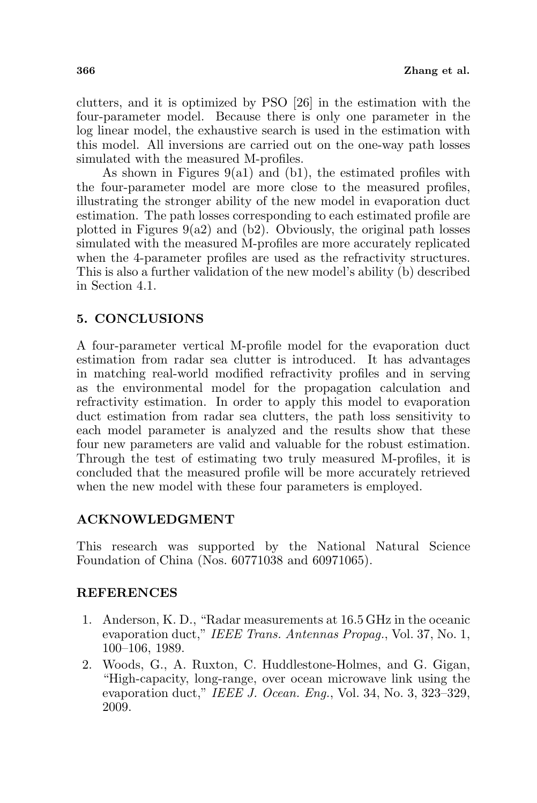clutters, and it is optimized by PSO [26] in the estimation with the four-parameter model. Because there is only one parameter in the log linear model, the exhaustive search is used in the estimation with this model. All inversions are carried out on the one-way path losses simulated with the measured M-profiles.

As shown in Figures  $9(a1)$  and  $(b1)$ , the estimated profiles with the four-parameter model are more close to the measured profiles, illustrating the stronger ability of the new model in evaporation duct estimation. The path losses corresponding to each estimated profile are plotted in Figures  $9(a2)$  and  $(b2)$ . Obviously, the original path losses simulated with the measured M-profiles are more accurately replicated when the 4-parameter profiles are used as the refractivity structures. This is also a further validation of the new model's ability (b) described in Section 4.1.

# 5. CONCLUSIONS

A four-parameter vertical M-profile model for the evaporation duct estimation from radar sea clutter is introduced. It has advantages in matching real-world modified refractivity profiles and in serving as the environmental model for the propagation calculation and refractivity estimation. In order to apply this model to evaporation duct estimation from radar sea clutters, the path loss sensitivity to each model parameter is analyzed and the results show that these four new parameters are valid and valuable for the robust estimation. Through the test of estimating two truly measured M-profiles, it is concluded that the measured profile will be more accurately retrieved when the new model with these four parameters is employed.

# ACKNOWLEDGMENT

This research was supported by the National Natural Science Foundation of China (Nos. 60771038 and 60971065).

# REFERENCES

- 1. Anderson, K. D., "Radar measurements at 16.5 GHz in the oceanic evaporation duct," IEEE Trans. Antennas Propag., Vol. 37, No. 1, 100–106, 1989.
- 2. Woods, G., A. Ruxton, C. Huddlestone-Holmes, and G. Gigan, "High-capacity, long-range, over ocean microwave link using the evaporation duct," IEEE J. Ocean. Eng., Vol. 34, No. 3, 323–329, 2009.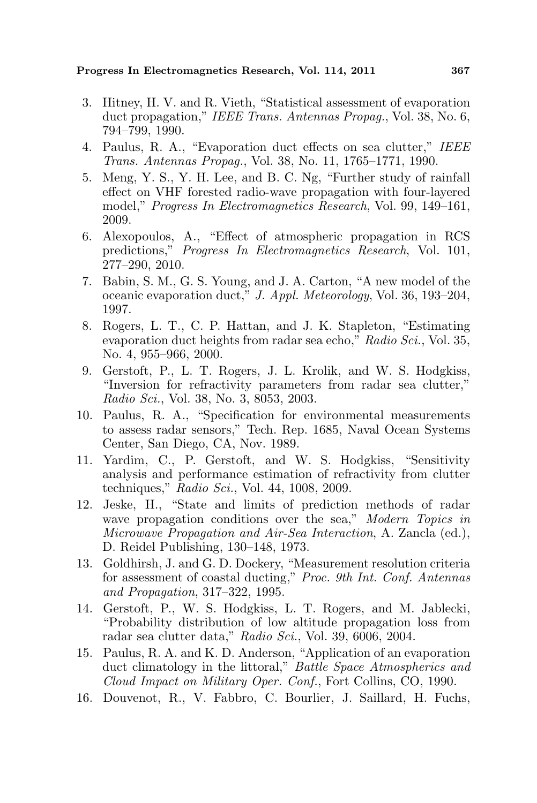Progress In Electromagnetics Research, Vol. 114, 2011 367

- 3. Hitney, H. V. and R. Vieth, "Statistical assessment of evaporation duct propagation," IEEE Trans. Antennas Propag., Vol. 38, No. 6, 794–799, 1990.
- 4. Paulus, R. A., "Evaporation duct effects on sea clutter," IEEE Trans. Antennas Propag., Vol. 38, No. 11, 1765–1771, 1990.
- 5. Meng, Y. S., Y. H. Lee, and B. C. Ng, "Further study of rainfall effect on VHF forested radio-wave propagation with four-layered model," Progress In Electromagnetics Research, Vol. 99, 149–161, 2009.
- 6. Alexopoulos, A., "Effect of atmospheric propagation in RCS predictions," Progress In Electromagnetics Research, Vol. 101, 277–290, 2010.
- 7. Babin, S. M., G. S. Young, and J. A. Carton, "A new model of the oceanic evaporation duct," J. Appl. Meteorology, Vol. 36, 193–204, 1997.
- 8. Rogers, L. T., C. P. Hattan, and J. K. Stapleton, "Estimating evaporation duct heights from radar sea echo," Radio Sci., Vol. 35, No. 4, 955–966, 2000.
- 9. Gerstoft, P., L. T. Rogers, J. L. Krolik, and W. S. Hodgkiss, "Inversion for refractivity parameters from radar sea clutter," Radio Sci., Vol. 38, No. 3, 8053, 2003.
- 10. Paulus, R. A., "Specification for environmental measurements to assess radar sensors," Tech. Rep. 1685, Naval Ocean Systems Center, San Diego, CA, Nov. 1989.
- 11. Yardim, C., P. Gerstoft, and W. S. Hodgkiss, "Sensitivity analysis and performance estimation of refractivity from clutter techniques," Radio Sci., Vol. 44, 1008, 2009.
- 12. Jeske, H., "State and limits of prediction methods of radar wave propagation conditions over the sea," Modern Topics in Microwave Propagation and Air-Sea Interaction, A. Zancla (ed.), D. Reidel Publishing, 130–148, 1973.
- 13. Goldhirsh, J. and G. D. Dockery, "Measurement resolution criteria for assessment of coastal ducting," Proc. 9th Int. Conf. Antennas and Propagation, 317–322, 1995.
- 14. Gerstoft, P., W. S. Hodgkiss, L. T. Rogers, and M. Jablecki, "Probability distribution of low altitude propagation loss from radar sea clutter data," Radio Sci., Vol. 39, 6006, 2004.
- 15. Paulus, R. A. and K. D. Anderson, "Application of an evaporation duct climatology in the littoral," Battle Space Atmospherics and Cloud Impact on Military Oper. Conf., Fort Collins, CO, 1990.
- 16. Douvenot, R., V. Fabbro, C. Bourlier, J. Saillard, H. Fuchs,